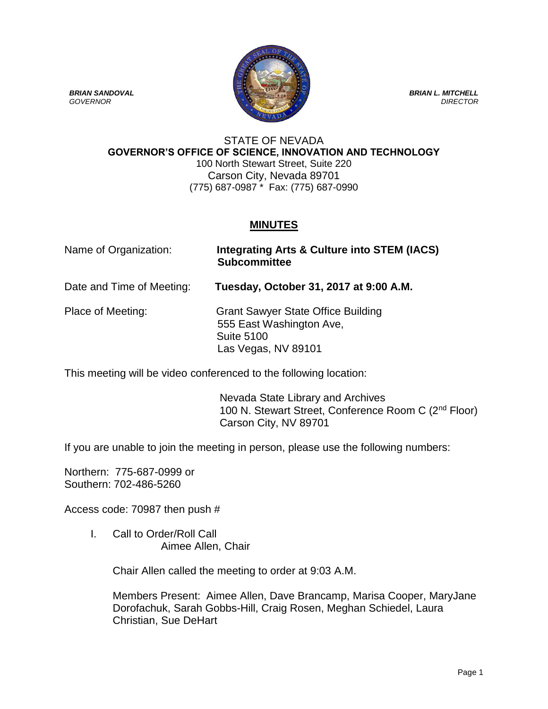

### STATE OF NEVADA **GOVERNOR'S OFFICE OF SCIENCE, INNOVATION AND TECHNOLOGY** 100 North Stewart Street, Suite 220 Carson City, Nevada 89701 (775) 687-0987 \* Fax: (775) 687-0990

# **MINUTES**

| Name of Organization: | Integrating Arts & Culture into STEM (IACS) |
|-----------------------|---------------------------------------------|
|                       | <b>Subcommittee</b>                         |

Date and Time of Meeting: **Tuesday, October 31, 2017 at 9:00 A.M.**

### Place of Meeting: Grant Sawyer State Office Building 555 East Washington Ave, Suite 5100 Las Vegas, NV 89101

This meeting will be video conferenced to the following location:

 Nevada State Library and Archives 100 N. Stewart Street, Conference Room C (2nd Floor) Carson City, NV 89701

If you are unable to join the meeting in person, please use the following numbers:

Northern: 775-687-0999 or Southern: 702-486-5260

Access code: 70987 then push #

I. Call to Order/Roll Call Aimee Allen, Chair

Chair Allen called the meeting to order at 9:03 A.M.

Members Present: Aimee Allen, Dave Brancamp, Marisa Cooper, MaryJane Dorofachuk, Sarah Gobbs-Hill, Craig Rosen, Meghan Schiedel, Laura Christian, Sue DeHart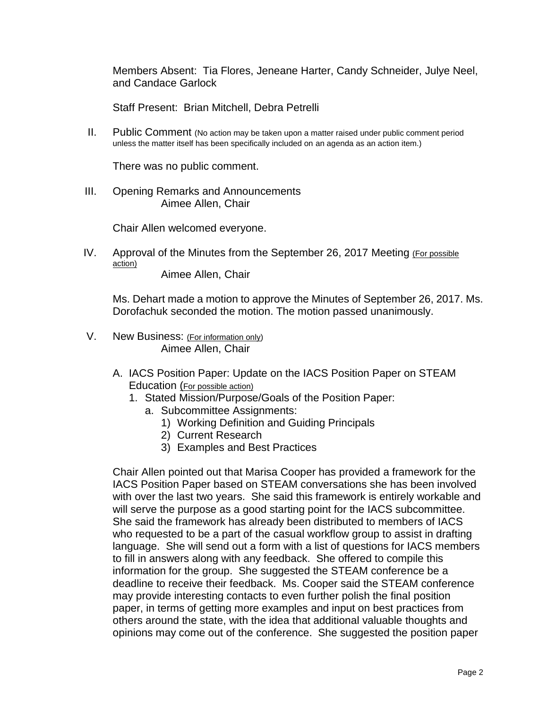Members Absent: Tia Flores, Jeneane Harter, Candy Schneider, Julye Neel, and Candace Garlock

Staff Present: Brian Mitchell, Debra Petrelli

II. Public Comment (No action may be taken upon a matter raised under public comment period unless the matter itself has been specifically included on an agenda as an action item.)

There was no public comment.

III. Opening Remarks and Announcements Aimee Allen, Chair

Chair Allen welcomed everyone.

IV. Approval of the Minutes from the September 26, 2017 Meeting (For possible action) Aimee Allen, Chair

Ms. Dehart made a motion to approve the Minutes of September 26, 2017. Ms. Dorofachuk seconded the motion. The motion passed unanimously.

- V. New Business: (For information only) Aimee Allen, Chair
	- A. IACS Position Paper: Update on the IACS Position Paper on STEAM Education (For possible action)
		- 1. Stated Mission/Purpose/Goals of the Position Paper:
			- a. Subcommittee Assignments:
				- 1) Working Definition and Guiding Principals
				- 2) Current Research
				- 3) Examples and Best Practices

Chair Allen pointed out that Marisa Cooper has provided a framework for the IACS Position Paper based on STEAM conversations she has been involved with over the last two years. She said this framework is entirely workable and will serve the purpose as a good starting point for the IACS subcommittee. She said the framework has already been distributed to members of IACS who requested to be a part of the casual workflow group to assist in drafting language. She will send out a form with a list of questions for IACS members to fill in answers along with any feedback. She offered to compile this information for the group. She suggested the STEAM conference be a deadline to receive their feedback. Ms. Cooper said the STEAM conference may provide interesting contacts to even further polish the final position paper, in terms of getting more examples and input on best practices from others around the state, with the idea that additional valuable thoughts and opinions may come out of the conference. She suggested the position paper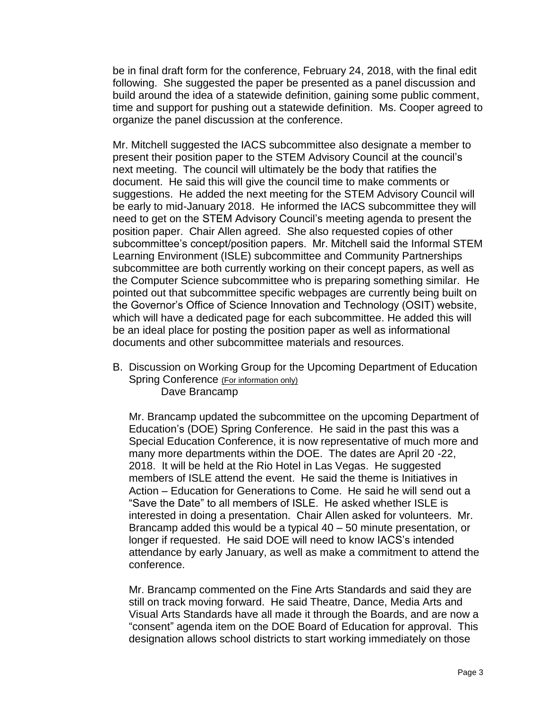be in final draft form for the conference, February 24, 2018, with the final edit following. She suggested the paper be presented as a panel discussion and build around the idea of a statewide definition, gaining some public comment, time and support for pushing out a statewide definition. Ms. Cooper agreed to organize the panel discussion at the conference.

Mr. Mitchell suggested the IACS subcommittee also designate a member to present their position paper to the STEM Advisory Council at the council's next meeting. The council will ultimately be the body that ratifies the document. He said this will give the council time to make comments or suggestions. He added the next meeting for the STEM Advisory Council will be early to mid-January 2018. He informed the IACS subcommittee they will need to get on the STEM Advisory Council's meeting agenda to present the position paper. Chair Allen agreed. She also requested copies of other subcommittee's concept/position papers. Mr. Mitchell said the Informal STEM Learning Environment (ISLE) subcommittee and Community Partnerships subcommittee are both currently working on their concept papers, as well as the Computer Science subcommittee who is preparing something similar. He pointed out that subcommittee specific webpages are currently being built on the Governor's Office of Science Innovation and Technology (OSIT) website, which will have a dedicated page for each subcommittee. He added this will be an ideal place for posting the position paper as well as informational documents and other subcommittee materials and resources.

B. Discussion on Working Group for the Upcoming Department of Education Spring Conference (For information only) Dave Brancamp

Mr. Brancamp updated the subcommittee on the upcoming Department of Education's (DOE) Spring Conference. He said in the past this was a Special Education Conference, it is now representative of much more and many more departments within the DOE. The dates are April 20 -22, 2018. It will be held at the Rio Hotel in Las Vegas. He suggested members of ISLE attend the event. He said the theme is Initiatives in Action – Education for Generations to Come. He said he will send out a "Save the Date" to all members of ISLE. He asked whether ISLE is interested in doing a presentation. Chair Allen asked for volunteers. Mr. Brancamp added this would be a typical 40 – 50 minute presentation, or longer if requested. He said DOE will need to know IACS's intended attendance by early January, as well as make a commitment to attend the conference.

Mr. Brancamp commented on the Fine Arts Standards and said they are still on track moving forward. He said Theatre, Dance, Media Arts and Visual Arts Standards have all made it through the Boards, and are now a "consent" agenda item on the DOE Board of Education for approval. This designation allows school districts to start working immediately on those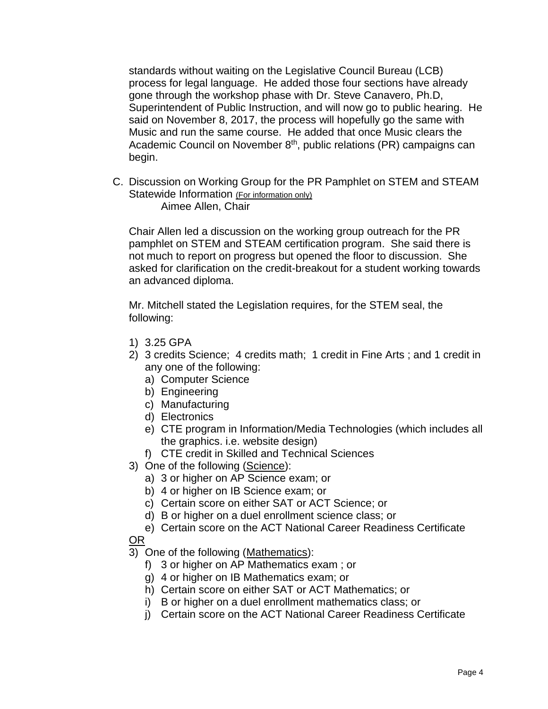standards without waiting on the Legislative Council Bureau (LCB) process for legal language. He added those four sections have already gone through the workshop phase with Dr. Steve Canavero, Ph.D, Superintendent of Public Instruction, and will now go to public hearing. He said on November 8, 2017, the process will hopefully go the same with Music and run the same course. He added that once Music clears the Academic Council on November 8<sup>th</sup>, public relations (PR) campaigns can begin.

C. Discussion on Working Group for the PR Pamphlet on STEM and STEAM Statewide Information (For information only) Aimee Allen, Chair

Chair Allen led a discussion on the working group outreach for the PR pamphlet on STEM and STEAM certification program. She said there is not much to report on progress but opened the floor to discussion. She asked for clarification on the credit-breakout for a student working towards an advanced diploma.

Mr. Mitchell stated the Legislation requires, for the STEM seal, the following:

- 1) 3.25 GPA
- 2) 3 credits Science; 4 credits math; 1 credit in Fine Arts ; and 1 credit in any one of the following:
	- a) Computer Science
	- b) Engineering
	- c) Manufacturing
	- d) Electronics
	- e) CTE program in Information/Media Technologies (which includes all the graphics. i.e. website design)
	- f) CTE credit in Skilled and Technical Sciences
- 3) One of the following (Science):
	- a) 3 or higher on AP Science exam; or
	- b) 4 or higher on IB Science exam; or
	- c) Certain score on either SAT or ACT Science; or
	- d) B or higher on a duel enrollment science class; or
	- e) Certain score on the ACT National Career Readiness Certificate

# OR

- 3) One of the following (Mathematics):
	- f) 3 or higher on AP Mathematics exam ; or
	- g) 4 or higher on IB Mathematics exam; or
	- h) Certain score on either SAT or ACT Mathematics; or
	- i) B or higher on a duel enrollment mathematics class; or
	- j) Certain score on the ACT National Career Readiness Certificate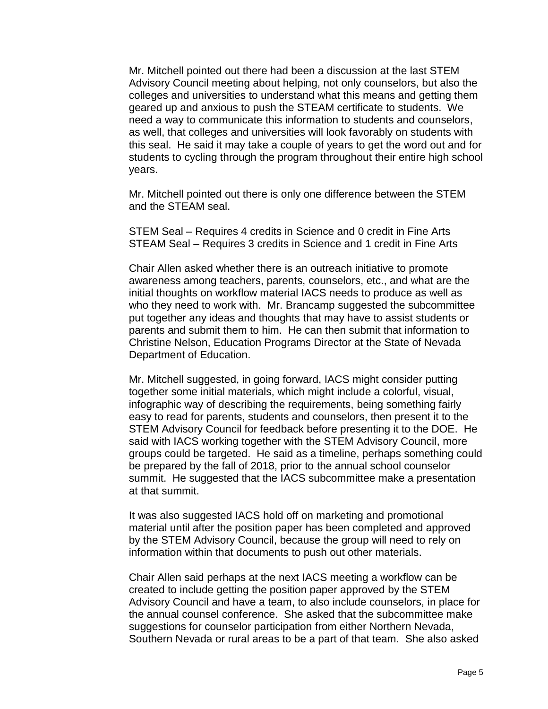Mr. Mitchell pointed out there had been a discussion at the last STEM Advisory Council meeting about helping, not only counselors, but also the colleges and universities to understand what this means and getting them geared up and anxious to push the STEAM certificate to students. We need a way to communicate this information to students and counselors, as well, that colleges and universities will look favorably on students with this seal. He said it may take a couple of years to get the word out and for students to cycling through the program throughout their entire high school years.

Mr. Mitchell pointed out there is only one difference between the STEM and the STEAM seal.

STEM Seal – Requires 4 credits in Science and 0 credit in Fine Arts STEAM Seal – Requires 3 credits in Science and 1 credit in Fine Arts

Chair Allen asked whether there is an outreach initiative to promote awareness among teachers, parents, counselors, etc., and what are the initial thoughts on workflow material IACS needs to produce as well as who they need to work with. Mr. Brancamp suggested the subcommittee put together any ideas and thoughts that may have to assist students or parents and submit them to him. He can then submit that information to Christine Nelson, Education Programs Director at the State of Nevada Department of Education.

Mr. Mitchell suggested, in going forward, IACS might consider putting together some initial materials, which might include a colorful, visual, infographic way of describing the requirements, being something fairly easy to read for parents, students and counselors, then present it to the STEM Advisory Council for feedback before presenting it to the DOE. He said with IACS working together with the STEM Advisory Council, more groups could be targeted. He said as a timeline, perhaps something could be prepared by the fall of 2018, prior to the annual school counselor summit. He suggested that the IACS subcommittee make a presentation at that summit.

It was also suggested IACS hold off on marketing and promotional material until after the position paper has been completed and approved by the STEM Advisory Council, because the group will need to rely on information within that documents to push out other materials.

Chair Allen said perhaps at the next IACS meeting a workflow can be created to include getting the position paper approved by the STEM Advisory Council and have a team, to also include counselors, in place for the annual counsel conference. She asked that the subcommittee make suggestions for counselor participation from either Northern Nevada, Southern Nevada or rural areas to be a part of that team. She also asked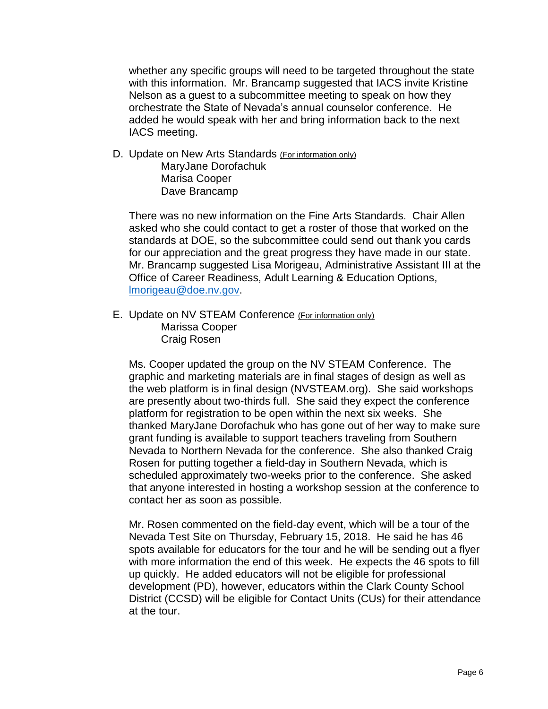whether any specific groups will need to be targeted throughout the state with this information. Mr. Brancamp suggested that IACS invite Kristine Nelson as a guest to a subcommittee meeting to speak on how they orchestrate the State of Nevada's annual counselor conference. He added he would speak with her and bring information back to the next IACS meeting.

D. Update on New Arts Standards (For information only)

MaryJane Dorofachuk Marisa Cooper Dave Brancamp

There was no new information on the Fine Arts Standards. Chair Allen asked who she could contact to get a roster of those that worked on the standards at DOE, so the subcommittee could send out thank you cards for our appreciation and the great progress they have made in our state. Mr. Brancamp suggested Lisa Morigeau, Administrative Assistant III at the Office of Career Readiness, Adult Learning & Education Options, [lmorigeau@doe.nv.gov.](mailto:lmorigeau@doe.nv.gov)

E. Update on NV STEAM Conference (For information only) Marissa Cooper Craig Rosen

Ms. Cooper updated the group on the NV STEAM Conference. The graphic and marketing materials are in final stages of design as well as the web platform is in final design (NVSTEAM.org). She said workshops are presently about two-thirds full. She said they expect the conference platform for registration to be open within the next six weeks. She thanked MaryJane Dorofachuk who has gone out of her way to make sure grant funding is available to support teachers traveling from Southern Nevada to Northern Nevada for the conference. She also thanked Craig Rosen for putting together a field-day in Southern Nevada, which is scheduled approximately two-weeks prior to the conference. She asked that anyone interested in hosting a workshop session at the conference to contact her as soon as possible.

Mr. Rosen commented on the field-day event, which will be a tour of the Nevada Test Site on Thursday, February 15, 2018. He said he has 46 spots available for educators for the tour and he will be sending out a flyer with more information the end of this week. He expects the 46 spots to fill up quickly. He added educators will not be eligible for professional development (PD), however, educators within the Clark County School District (CCSD) will be eligible for Contact Units (CUs) for their attendance at the tour.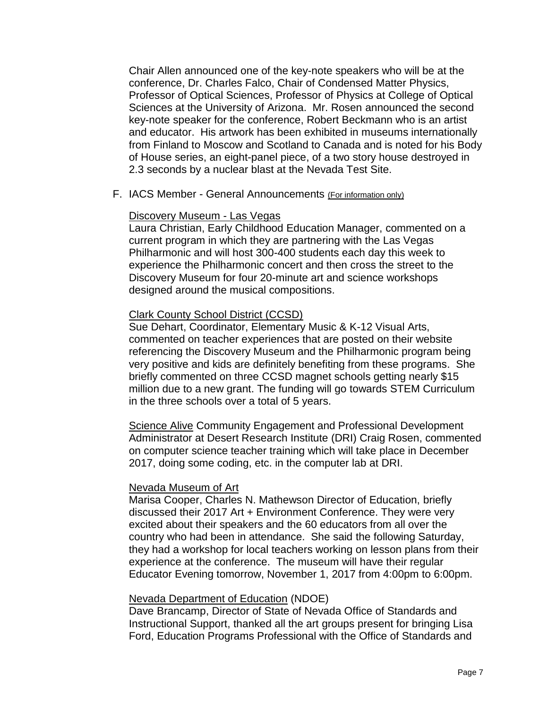Chair Allen announced one of the key-note speakers who will be at the conference, Dr. Charles Falco, Chair of Condensed Matter Physics, Professor of Optical Sciences, Professor of Physics at College of Optical Sciences at the University of Arizona. Mr. Rosen announced the second key-note speaker for the conference, Robert Beckmann who is an artist and educator. His artwork has been exhibited in museums internationally from Finland to Moscow and Scotland to Canada and is noted for his Body of House series, an eight-panel piece, of a two story house destroyed in 2.3 seconds by a nuclear blast at the Nevada Test Site.

F. IACS Member - General Announcements (For information only)

#### Discovery Museum - Las Vegas

Laura Christian, Early Childhood Education Manager, commented on a current program in which they are partnering with the Las Vegas Philharmonic and will host 300-400 students each day this week to experience the Philharmonic concert and then cross the street to the Discovery Museum for four 20-minute art and science workshops designed around the musical compositions.

## Clark County School District (CCSD)

Sue Dehart, Coordinator, Elementary Music & K-12 Visual Arts, commented on teacher experiences that are posted on their website referencing the Discovery Museum and the Philharmonic program being very positive and kids are definitely benefiting from these programs. She briefly commented on three CCSD magnet schools getting nearly \$15 million due to a new grant. The funding will go towards STEM Curriculum in the three schools over a total of 5 years.

**Science Alive Community Engagement and Professional Development** Administrator at Desert Research Institute (DRI) Craig Rosen, commented on computer science teacher training which will take place in December 2017, doing some coding, etc. in the computer lab at DRI.

# Nevada Museum of Art

Marisa Cooper, Charles N. Mathewson Director of Education, briefly discussed their 2017 Art + Environment Conference. They were very excited about their speakers and the 60 educators from all over the country who had been in attendance. She said the following Saturday, they had a workshop for local teachers working on lesson plans from their experience at the conference. The museum will have their regular Educator Evening tomorrow, November 1, 2017 from 4:00pm to 6:00pm.

# Nevada Department of Education (NDOE)

Dave Brancamp, Director of State of Nevada Office of Standards and Instructional Support, thanked all the art groups present for bringing Lisa Ford, Education Programs Professional with the Office of Standards and